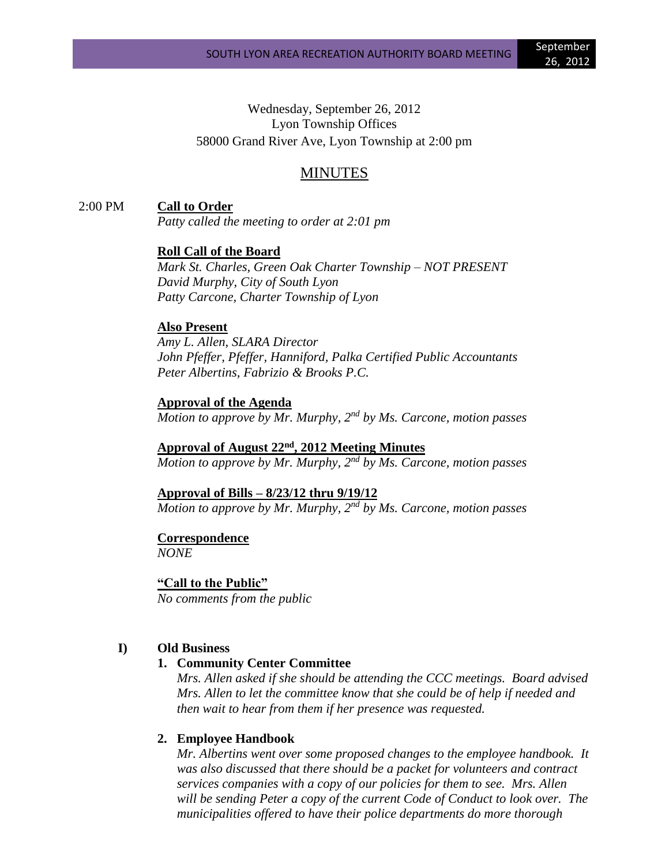Wednesday, September 26, 2012 Lyon Township Offices 58000 Grand River Ave, Lyon Township at 2:00 pm

## MINUTES

2:00 PM **Call to Order**

*Patty called the meeting to order at 2:01 pm*

**Roll Call of the Board**

*Mark St. Charles, Green Oak Charter Township – NOT PRESENT David Murphy, City of South Lyon Patty Carcone, Charter Township of Lyon*

#### **Also Present**

*Amy L. Allen, SLARA Director John Pfeffer, Pfeffer, Hanniford, Palka Certified Public Accountants Peter Albertins, Fabrizio & Brooks P.C.*

**Approval of the Agenda** *Motion to approve by Mr. Murphy, 2nd by Ms. Carcone, motion passes*

**Approval of August 22nd , 2012 Meeting Minutes** *Motion to approve by Mr. Murphy, 2nd by Ms. Carcone, motion passes*

**Approval of Bills – 8/23/12 thru 9/19/12**

*Motion to approve by Mr. Murphy, 2nd by Ms. Carcone, motion passes*

**Correspondence** *NONE*

**"Call to the Public"**

*No comments from the public*

### **I) Old Business**

#### **1. Community Center Committee**

*Mrs. Allen asked if she should be attending the CCC meetings. Board advised Mrs. Allen to let the committee know that she could be of help if needed and then wait to hear from them if her presence was requested.*

#### **2. Employee Handbook**

*Mr. Albertins went over some proposed changes to the employee handbook. It was also discussed that there should be a packet for volunteers and contract services companies with a copy of our policies for them to see. Mrs. Allen will be sending Peter a copy of the current Code of Conduct to look over. The municipalities offered to have their police departments do more thorough*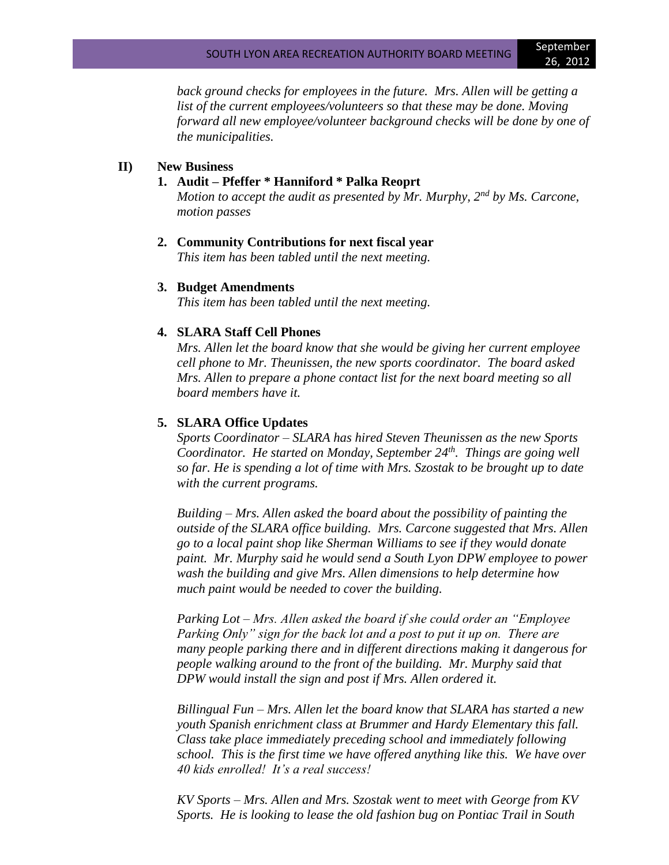*back ground checks for employees in the future. Mrs. Allen will be getting a list of the current employees/volunteers so that these may be done. Moving forward all new employee/volunteer background checks will be done by one of the municipalities.*

#### **II) New Business**

#### **1. Audit – Pfeffer \* Hanniford \* Palka Reoprt**

*Motion to accept the audit as presented by Mr. Murphy, 2nd by Ms. Carcone, motion passes*

#### **2. Community Contributions for next fiscal year**

*This item has been tabled until the next meeting.*

#### **3. Budget Amendments**

*This item has been tabled until the next meeting.*

#### **4. SLARA Staff Cell Phones**

*Mrs. Allen let the board know that she would be giving her current employee cell phone to Mr. Theunissen, the new sports coordinator. The board asked Mrs. Allen to prepare a phone contact list for the next board meeting so all board members have it.*

#### **5. SLARA Office Updates**

*Sports Coordinator – SLARA has hired Steven Theunissen as the new Sports Coordinator. He started on Monday, September 24th. Things are going well so far. He is spending a lot of time with Mrs. Szostak to be brought up to date with the current programs.*

*Building – Mrs. Allen asked the board about the possibility of painting the outside of the SLARA office building. Mrs. Carcone suggested that Mrs. Allen go to a local paint shop like Sherman Williams to see if they would donate paint. Mr. Murphy said he would send a South Lyon DPW employee to power wash the building and give Mrs. Allen dimensions to help determine how much paint would be needed to cover the building.*

*Parking Lot – Mrs. Allen asked the board if she could order an "Employee Parking Only" sign for the back lot and a post to put it up on. There are many people parking there and in different directions making it dangerous for people walking around to the front of the building. Mr. Murphy said that DPW would install the sign and post if Mrs. Allen ordered it.*

*Billingual Fun – Mrs. Allen let the board know that SLARA has started a new youth Spanish enrichment class at Brummer and Hardy Elementary this fall. Class take place immediately preceding school and immediately following school. This is the first time we have offered anything like this. We have over 40 kids enrolled! It's a real success!*

*KV Sports – Mrs. Allen and Mrs. Szostak went to meet with George from KV Sports. He is looking to lease the old fashion bug on Pontiac Trail in South*